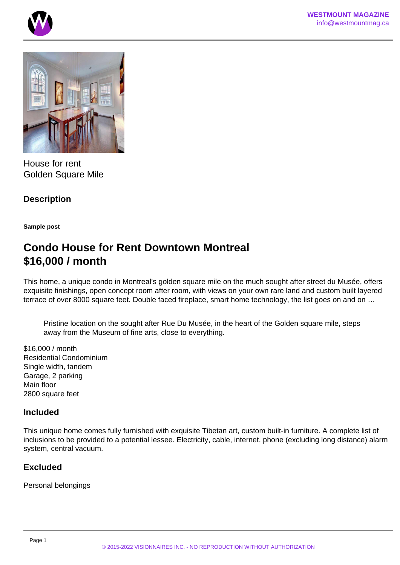



House for rent Golden Square Mile

**Description**

**Sample post**

# **Condo House for Rent Downtown Montreal \$16,000 / month**

This home, a unique condo in Montreal's golden square mile on the much sought after street du Musée, offers exquisite finishings, open concept room after room, with views on your own rare land and custom built layered terrace of over 8000 square feet. Double faced fireplace, smart home technology, the list goes on and on …

Pristine location on the sought after Rue Du Musée, in the heart of the Golden square mile, steps away from the Museum of fine arts, close to everything.

\$16,000 / month Residential Condominium Single width, tandem Garage, 2 parking Main floor 2800 square feet

### **Included**

This unique home comes fully furnished with exquisite Tibetan art, custom built-in furniture. A complete list of inclusions to be provided to a potential lessee. Electricity, cable, internet, phone (excluding long distance) alarm system, central vacuum.

# **Excluded**

Personal belongings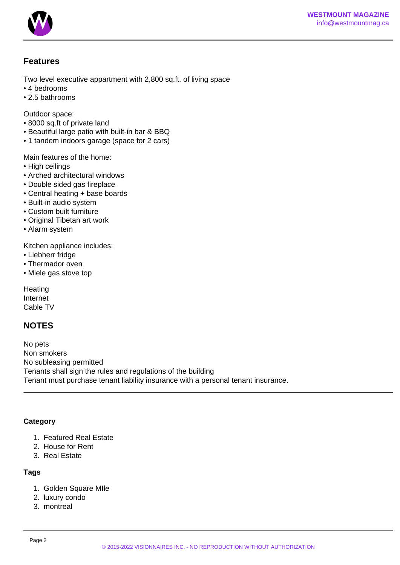

### **Features**

Two level executive appartment with 2,800 sq.ft. of living space

- 4 bedrooms
- 2.5 bathrooms

Outdoor space:

- 8000 sq.ft of private land
- Beautiful large patio with built-in bar & BBQ
- 1 tandem indoors garage (space for 2 cars)

Main features of the home:

- High ceilings
- Arched architectural windows
- Double sided gas fireplace
- Central heating + base boards
- Built-in audio system
- Custom built furniture
- Original Tibetan art work
- Alarm system

Kitchen appliance includes:

- Liebherr fridge
- Thermador oven
- Miele gas stove top

**Heating** Internet Cable TV

# **NOTES**

No pets Non smokers No subleasing permitted Tenants shall sign the rules and regulations of the building Tenant must purchase tenant liability insurance with a personal tenant insurance.

### **Category**

- 1. Featured Real Estate
- 2. House for Rent
- 3. Real Estate

### **Tags**

- 1. Golden Square MIle
- 2. luxury condo
- 3. montreal